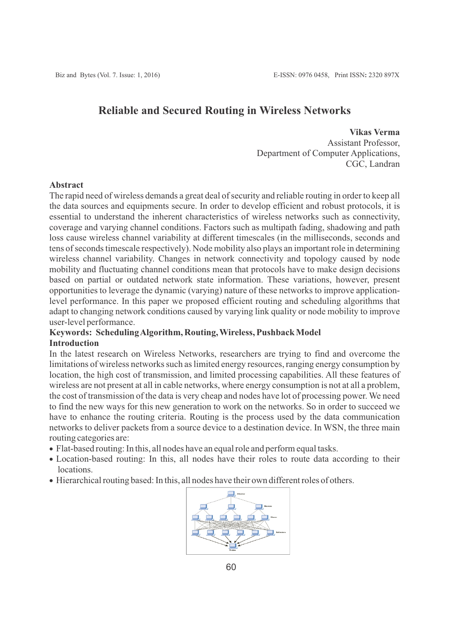# **Reliable and Secured Routing in Wireless Networks**

**Vikas Verma** Assistant Professor, Department of Computer Applications, CGC, Landran

## **Abstract**

The rapid need of wireless demands a great deal of security and reliable routing in order to keep all the data sources and equipments secure. In order to develop efficient and robust protocols, it is essential to understand the inherent characteristics of wireless networks such as connectivity, coverage and varying channel conditions. Factors such as multipath fading, shadowing and path loss cause wireless channel variability at different timescales (in the milliseconds, seconds and tens of seconds timescale respectively). Node mobility also plays an important role in determining wireless channel variability. Changes in network connectivity and topology caused by node mobility and fluctuating channel conditions mean that protocols have to make design decisions based on partial or outdated network state information. These variations, however, present opportunities to leverage the dynamic (varying) nature of these networks to improve applicationlevel performance. In this paper we proposed efficient routing and scheduling algorithms that adapt to changing network conditions caused by varying link quality or node mobility to improve user-level performance.

## **Keywords: Scheduling Algorithm, Routing, Wireless, Pushback Model Introduction**

In the latest research on Wireless Networks, researchers are trying to find and overcome the limitations of wireless networks such as limited energy resources, ranging energy consumption by location, the high cost of transmission, and limited processing capabilities. All these features of wireless are not present at all in cable networks, where energy consumption is not at all a problem, the cost of transmission of the data is very cheap and nodes have lot of processing power. We need to find the new ways for this new generation to work on the networks. So in order to succeed we have to enhance the routing criteria. Routing is the process used by the data communication networks to deliver packets from a source device to a destination device. In WSN, the three main routing categories are:

- · Flat-based routing: In this, all nodes have an equal role and perform equal tasks.
- · Location-based routing: In this, all nodes have their roles to route data according to their locations.
- · Hierarchical routing based: In this, all nodes have their own different roles of others.

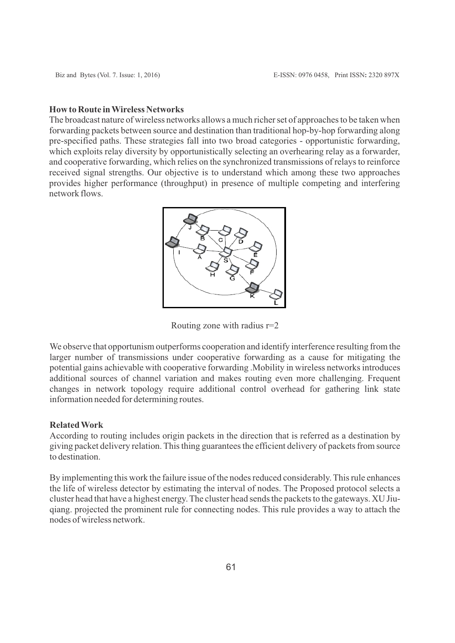#### **How to Route in Wireless Networks**

The broadcast nature of wireless networks allows a much richer set of approaches to be taken when forwarding packets between source and destination than traditional hop-by-hop forwarding along pre-specified paths. These strategies fall into two broad categories - opportunistic forwarding, which exploits relay diversity by opportunistically selecting an overhearing relay as a forwarder, and cooperative forwarding, which relies on the synchronized transmissions of relays to reinforce received signal strengths. Our objective is to understand which among these two approaches provides higher performance (throughput) in presence of multiple competing and interfering network flows.



Routing zone with radius r=2

We observe that opportunism outperforms cooperation and identify interference resulting from the larger number of transmissions under cooperative forwarding as a cause for mitigating the potential gains achievable with cooperative forwarding .Mobility in wireless networks introduces additional sources of channel variation and makes routing even more challenging. Frequent changes in network topology require additional control overhead for gathering link state information needed for determining routes.

#### **Related Work**

According to routing includes origin packets in the direction that is referred as a destination by giving packet delivery relation. This thing guarantees the efficient delivery of packets from source to destination.

By implementing this work the failure issue of the nodes reduced considerably. This rule enhances the life of wireless detector by estimating the interval of nodes. The Proposed protocol selects a cluster head that have a highest energy. The cluster head sends the packets to the gateways. XU Jiuqiang. projected the prominent rule for connecting nodes. This rule provides a way to attach the nodes of wireless network.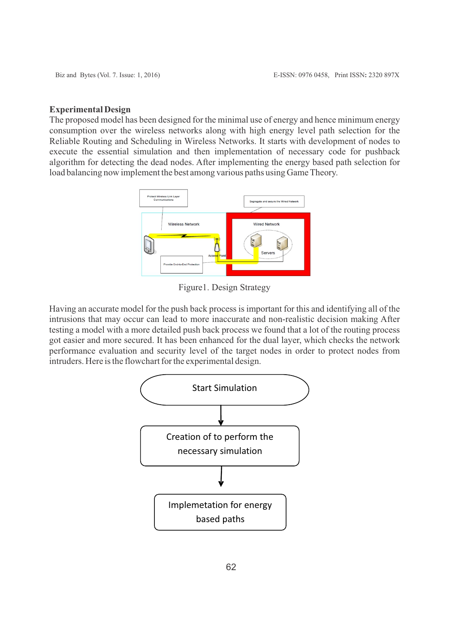#### **Experimental Design**

The proposed model has been designed for the minimal use of energy and hence minimum energy consumption over the wireless networks along with high energy level path selection for the Reliable Routing and Scheduling in Wireless Networks. It starts with development of nodes to execute the essential simulation and then implementation of necessary code for pushback algorithm for detecting the dead nodes. After implementing the energy based path selection for load balancing now implement the best among various paths using Game Theory.



Figure1. Design Strategy

Having an accurate model for the push back process is important for this and identifying all of the intrusions that may occur can lead to more inaccurate and non-realistic decision making After testing a model with a more detailed push back process we found that a lot of the routing process got easier and more secured. It has been enhanced for the dual layer, which checks the network performance evaluation and security level of the target nodes in order to protect nodes from intruders. Here is the flowchart for the experimental design.

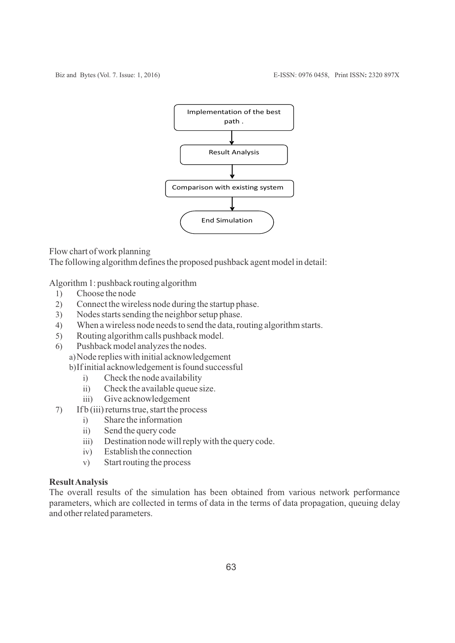

Flow chart of work planning

The following algorithm defines the proposed pushback agent model in detail:

Algorithm 1: pushback routing algorithm

- 1) Choose the node
- 2) Connect the wireless node during the startup phase.
- 3) Nodes starts sending the neighbor setup phase.
- 4) When a wireless node needs to send the data, routing algorithm starts.
- 5) Routing algorithm calls pushback model.
- 6) Pushback model analyzes the nodes.
	- a) Node replies with initial acknowledgement
	- b) If initial acknowledgement is found successful
		- i) Check the node availability
		- ii) Check the available queue size.
		- iii) Give acknowledgement
- 7) If b (iii) returns true, start the process
	- i) Share the information
	- ii) Send the query code
	- iii) Destination node will reply with the query code.
	- iv) Establish the connection
	- v) Start routing the process

### **Result Analysis**

The overall results of the simulation has been obtained from various network performance parameters, which are collected in terms of data in the terms of data propagation, queuing delay and other related parameters.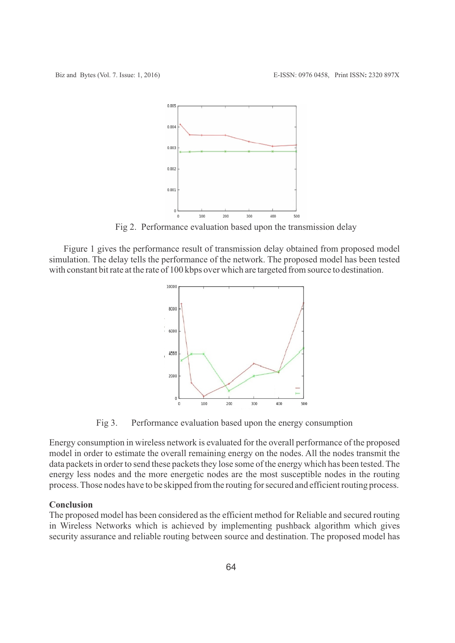

Fig 2. Performance evaluation based upon the transmission delay

Figure 1 gives the performance result of transmission delay obtained from proposed model simulation. The delay tells the performance of the network. The proposed model has been tested with constant bit rate at the rate of 100 kbps over which are targeted from source to destination.



Fig 3. Performance evaluation based upon the energy consumption

Energy consumption in wireless network is evaluated for the overall performance of the proposed model in order to estimate the overall remaining energy on the nodes. All the nodes transmit the data packets in order to send these packets they lose some of the energy which has been tested. The energy less nodes and the more energetic nodes are the most susceptible nodes in the routing process. Those nodes have to be skipped from the routing for secured and efficient routing process.

### **Conclusion**

The proposed model has been considered as the efficient method for Reliable and secured routing in Wireless Networks which is achieved by implementing pushback algorithm which gives security assurance and reliable routing between source and destination. The proposed model has